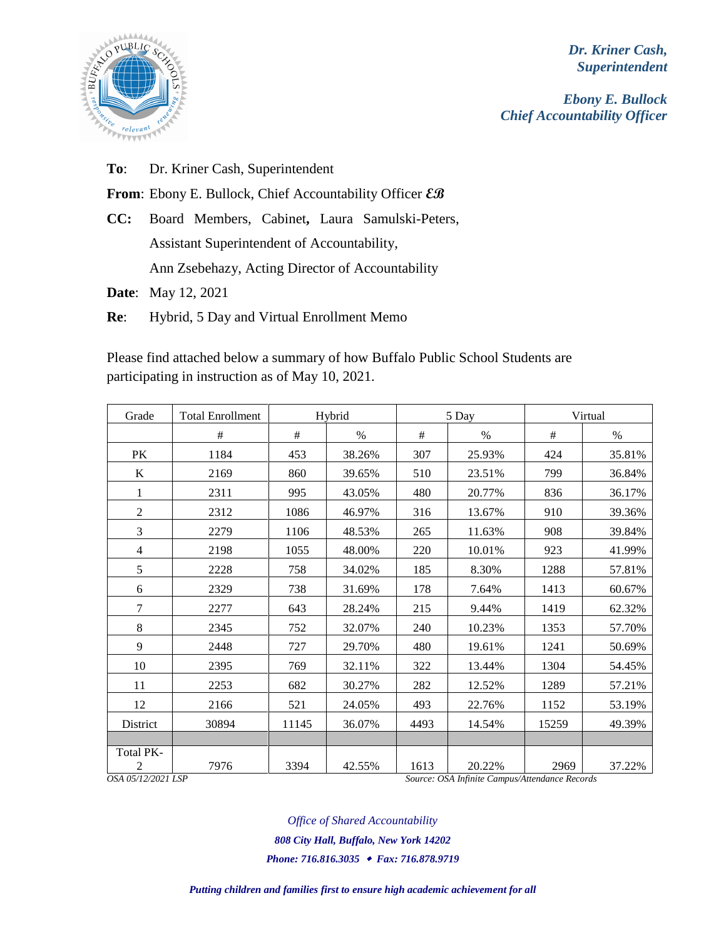

*Dr. Kriner Cash, Superintendent*

*Ebony E. Bullock Chief Accountability Officer*

**To**: Dr. Kriner Cash, Superintendent

**From**: Ebony E. Bullock, Chief Accountability Officer **EB**

**CC:** Board Members, Cabinet**,** Laura Samulski-Peters, Assistant Superintendent of Accountability,

Ann Zsebehazy, Acting Director of Accountability

**Date**: May 12, 2021

**Re**: Hybrid, 5 Day and Virtual Enrollment Memo

Please find attached below a summary of how Buffalo Public School Students are participating in instruction as of May 10, 2021.

| Grade                                | <b>Total Enrollment</b> | Hybrid |        | 5 Day |                                                          | Virtual |        |
|--------------------------------------|-------------------------|--------|--------|-------|----------------------------------------------------------|---------|--------|
|                                      | #                       | #      | $\%$   | #     | $\%$                                                     | #       | $\%$   |
| <b>PK</b>                            | 1184                    | 453    | 38.26% | 307   | 25.93%                                                   | 424     | 35.81% |
| K                                    | 2169                    | 860    | 39.65% | 510   | 23.51%                                                   | 799     | 36.84% |
| 1                                    | 2311                    | 995    | 43.05% | 480   | 20.77%                                                   | 836     | 36.17% |
| $\overline{2}$                       | 2312                    | 1086   | 46.97% | 316   | 13.67%                                                   | 910     | 39.36% |
| 3                                    | 2279                    | 1106   | 48.53% | 265   | 11.63%                                                   | 908     | 39.84% |
| 4                                    | 2198                    | 1055   | 48.00% | 220   | 10.01%                                                   | 923     | 41.99% |
| 5                                    | 2228                    | 758    | 34.02% | 185   | 8.30%                                                    | 1288    | 57.81% |
| 6                                    | 2329                    | 738    | 31.69% | 178   | 7.64%                                                    | 1413    | 60.67% |
| $\overline{7}$                       | 2277                    | 643    | 28.24% | 215   | 9.44%                                                    | 1419    | 62.32% |
| 8                                    | 2345                    | 752    | 32.07% | 240   | 10.23%                                                   | 1353    | 57.70% |
| 9                                    | 2448                    | 727    | 29.70% | 480   | 19.61%                                                   | 1241    | 50.69% |
| 10                                   | 2395                    | 769    | 32.11% | 322   | 13.44%                                                   | 1304    | 54.45% |
| 11                                   | 2253                    | 682    | 30.27% | 282   | 12.52%                                                   | 1289    | 57.21% |
| 12                                   | 2166                    | 521    | 24.05% | 493   | 22.76%                                                   | 1152    | 53.19% |
| District                             | 30894                   | 11145  | 36.07% | 4493  | 14.54%                                                   | 15259   | 49.39% |
|                                      |                         |        |        |       |                                                          |         |        |
| Total PK-<br>2<br>OSA 05/12/2021 LSP | 7976                    | 3394   | 42.55% | 1613  | 20.22%<br>Source: OSA Infinite Campus/Attendance Records | 2969    | 37.22% |

*Office of Shared Accountability*

*808 City Hall, Buffalo, New York 14202*

*Phone: 716.816.3035 Fax: 716.878.9719*